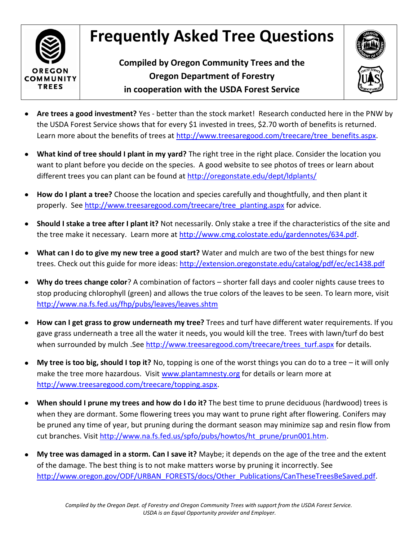## **Frequently Asked Tree Questions**



**Compiled by Oregon Community Trees and the Oregon Department of Forestry in cooperation with the USDA Forest Service**



- **Are trees a good investment?** Yes better than the stock market! Research conducted here in the PNW by the USDA Forest Service shows that for every \$1 invested in trees, \$2.70 worth of benefits is returned. Learn more about the benefits of trees at [http://www.treesaregood.com/treecare/tree\\_benefits.aspx.](http://www.treesaregood.com/treecare/tree_benefits.aspx)
- **What kind of tree should I plant in my yard?** The right tree in the right place. Consider the location you  $\bullet$ want to plant before you decide on the species. A good website to see photos of trees or learn about different trees you can plant can be found at<http://oregonstate.edu/dept/ldplants/>
- **How do I plant a tree?** Choose the location and species carefully and thoughtfully, and then plant it  $\bullet$ properly. See [http://www.treesaregood.com/treecare/tree\\_planting.aspx](http://www.treesaregood.com/treecare/tree_planting.aspx) for advice.
- **Should I stake a tree after I plant it?** Not necessarily. Only stake a tree if the characteristics of the site and  $\bullet$ the tree make it necessary. Learn more at [http://www.cmg.colostate.edu/gardennotes/634.pdf.](http://www.cmg.colostate.edu/gardennotes/634.pdf)
- **What can I do to give my new tree a good start?** Water and mulch are two of the best things for new  $\bullet$ trees. Check out this guide for more ideas:<http://extension.oregonstate.edu/catalog/pdf/ec/ec1438.pdf>
- **Why do trees change color**? A combination of factors shorter fall days and cooler nights cause trees to  $\bullet$ stop producing chlorophyll (green) and allows the true colors of the leaves to be seen. To learn more, visit <http://www.na.fs.fed.us/fhp/pubs/leaves/leaves.shtm>
- **How can I get grass to grow underneath my tree?** Trees and turf have different water requirements. If you  $\bullet$ gave grass underneath a tree all the water it needs, you would kill the tree. Trees with lawn/turf do best when surrounded by mulch .See [http://www.treesaregood.com/treecare/trees\\_turf.aspx](http://www.treesaregood.com/treecare/trees_turf.aspx) for details.
- **My tree is too big, should I top it?** No, topping is one of the worst things you can do to a tree it will only  $\bullet$ make the tree more hazardous. Visit [www.plantamnesty.org](http://www.plantamnesty.org/) for details or learn more at [http://www.treesaregood.com/treecare/topping.aspx.](http://www.treesaregood.com/treecare/topping.aspx)
- **When should I prune my trees and how do I do it?** The best time to prune deciduous (hardwood) trees is  $\bullet$ when they are dormant. Some flowering trees you may want to prune right after flowering. Conifers may be pruned any time of year, but pruning during the dormant season may minimize sap and resin flow from cut branches. Visit [http://www.na.fs.fed.us/spfo/pubs/howtos/ht\\_prune/prun001.htm.](http://www.na.fs.fed.us/spfo/pubs/howtos/ht_prune/prun001.htm)
- **My tree was damaged in a storm. Can I save it?** Maybe; it depends on the age of the tree and the extent  $\bullet$ of the damage. The best thing is to not make matters worse by pruning it incorrectly. See [http://www.oregon.gov/ODF/URBAN\\_FORESTS/docs/Other\\_Publications/CanTheseTreesBeSaved.pdf.](http://www.oregon.gov/ODF/URBAN_FORESTS/docs/Other_Publications/CanTheseTreesBeSaved.pdf)